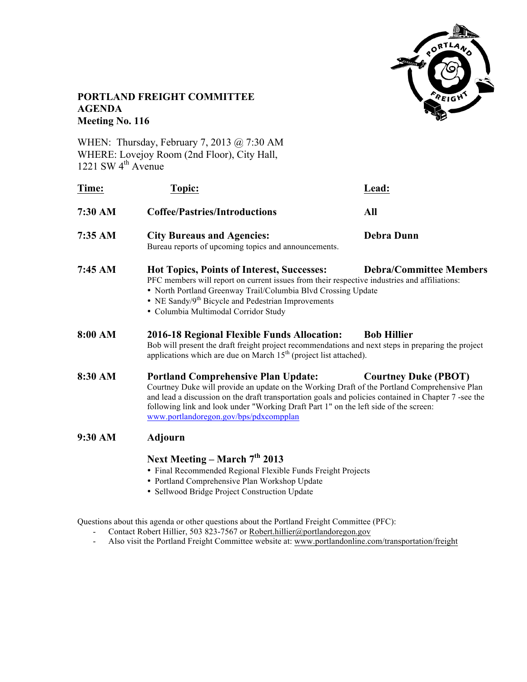

# **PORTLAND FREIGHT COMMITTEE AGENDA Meeting No. 116**

WHEN: Thursday, February 7, 2013 @ 7:30 AM WHERE: Lovejoy Room (2nd Floor), City Hall, 1221 SW  $4<sup>th</sup>$  Avenue

| Time:   | Topic:                                                                                                                                                                                                                                                                                                                                                                                                              | Lead:             |
|---------|---------------------------------------------------------------------------------------------------------------------------------------------------------------------------------------------------------------------------------------------------------------------------------------------------------------------------------------------------------------------------------------------------------------------|-------------------|
| 7:30 AM | <b>Coffee/Pastries/Introductions</b>                                                                                                                                                                                                                                                                                                                                                                                | All               |
| 7:35 AM | <b>City Bureaus and Agencies:</b><br>Bureau reports of upcoming topics and announcements.                                                                                                                                                                                                                                                                                                                           | <b>Debra Dunn</b> |
| 7:45 AM | Hot Topics, Points of Interest, Successes:<br><b>Debra/Committee Members</b><br>PFC members will report on current issues from their respective industries and affiliations:<br>• North Portland Greenway Trail/Columbia Blvd Crossing Update<br>• NE Sandy/ $9th$ Bicycle and Pedestrian Improvements<br>· Columbia Multimodal Corridor Study                                                                      |                   |
| 8:00 AM | <b>2016-18 Regional Flexible Funds Allocation:</b><br><b>Bob Hillier</b><br>Bob will present the draft freight project recommendations and next steps in preparing the project<br>applications which are due on March $15th$ (project list attached).                                                                                                                                                               |                   |
| 8:30 AM | <b>Portland Comprehensive Plan Update:</b><br><b>Courtney Duke (PBOT)</b><br>Courtney Duke will provide an update on the Working Draft of the Portland Comprehensive Plan<br>and lead a discussion on the draft transportation goals and policies contained in Chapter 7 -see the<br>following link and look under "Working Draft Part 1" on the left side of the screen:<br>www.portlandoregon.gov/bps/pdxcompplan |                   |
| 9:30 AM | <b>Adjourn</b>                                                                                                                                                                                                                                                                                                                                                                                                      |                   |
|         | Next Meeting – March $7th$ 2013<br>• Einal Recommended Regional Flexible Funds Freight Projects                                                                                                                                                                                                                                                                                                                     |                   |

- Final Recommended Regional Flexible Funds Freight Projects
- Portland Comprehensive Plan Workshop Update
- Sellwood Bridge Project Construction Update

Questions about this agenda or other questions about the Portland Freight Committee (PFC):

- Contact Robert Hillier, 503 823-7567 or Robert.hillier@portlandoregon.gov
- Also visit the Portland Freight Committee website at: www.portlandonline.com/transportation/freight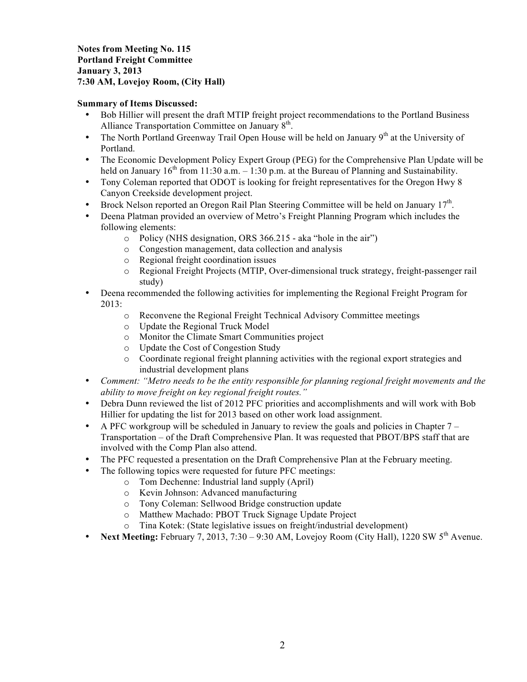**Notes from Meeting No. 115 Portland Freight Committee January 3, 2013 7:30 AM, Lovejoy Room, (City Hall)**

### **Summary of Items Discussed:**

- Bob Hillier will present the draft MTIP freight project recommendations to the Portland Business Alliance Transportation Committee on January 8<sup>th</sup>.
- The North Portland Greenway Trail Open House will be held on January  $9<sup>th</sup>$  at the University of Portland.
- The Economic Development Policy Expert Group (PEG) for the Comprehensive Plan Update will be held on January  $16<sup>th</sup>$  from 11:30 a.m.  $-1:30$  p.m. at the Bureau of Planning and Sustainability.
- Tony Coleman reported that ODOT is looking for freight representatives for the Oregon Hwy 8 Canyon Creekside development project.
- Brock Nelson reported an Oregon Rail Plan Steering Committee will be held on January 17<sup>th</sup>.
- Deena Platman provided an overview of Metro's Freight Planning Program which includes the following elements:
	- o Policy (NHS designation, ORS 366.215 aka "hole in the air")
	- o Congestion management, data collection and analysis
	- o Regional freight coordination issues
	- o Regional Freight Projects (MTIP, Over-dimensional truck strategy, freight-passenger rail study)
- Deena recommended the following activities for implementing the Regional Freight Program for 2013:
	- o Reconvene the Regional Freight Technical Advisory Committee meetings
	- o Update the Regional Truck Model
	- o Monitor the Climate Smart Communities project
	- o Update the Cost of Congestion Study
	- o Coordinate regional freight planning activities with the regional export strategies and industrial development plans
- *Comment: "Metro needs to be the entity responsible for planning regional freight movements and the ability to move freight on key regional freight routes."*
- Debra Dunn reviewed the list of 2012 PFC priorities and accomplishments and will work with Bob Hillier for updating the list for 2013 based on other work load assignment.
- A PFC workgroup will be scheduled in January to review the goals and policies in Chapter  $7 -$ Transportation – of the Draft Comprehensive Plan. It was requested that PBOT/BPS staff that are involved with the Comp Plan also attend.
- The PFC requested a presentation on the Draft Comprehensive Plan at the February meeting.
- The following topics were requested for future PFC meetings:
	- o Tom Dechenne: Industrial land supply (April)
	- o Kevin Johnson: Advanced manufacturing
	- o Tony Coleman: Sellwood Bridge construction update
	- o Matthew Machado: PBOT Truck Signage Update Project
	- o Tina Kotek: (State legislative issues on freight/industrial development)
- Next Meeting: February 7, 2013, 7:30 9:30 AM, Lovejoy Room (City Hall), 1220 SW 5<sup>th</sup> Avenue.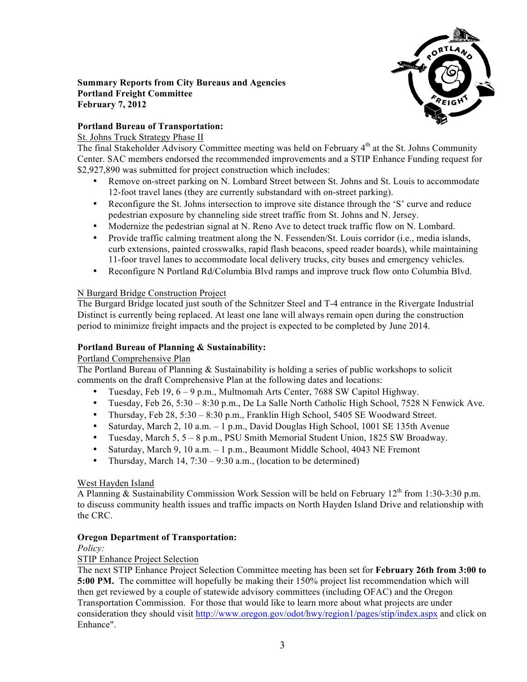

### **Summary Reports from City Bureaus and Agencies Portland Freight Committee February 7, 2012**

# **Portland Bureau of Transportation:**

### St. Johns Truck Strategy Phase II

The final Stakeholder Advisory Committee meeting was held on February 4<sup>th</sup> at the St. Johns Community Center. SAC members endorsed the recommended improvements and a STIP Enhance Funding request for \$2,927,890 was submitted for project construction which includes:

- Remove on-street parking on N. Lombard Street between St. Johns and St. Louis to accommodate 12-foot travel lanes (they are currently substandard with on-street parking).
- Reconfigure the St. Johns intersection to improve site distance through the 'S' curve and reduce pedestrian exposure by channeling side street traffic from St. Johns and N. Jersey.
- Modernize the pedestrian signal at N. Reno Ave to detect truck traffic flow on N. Lombard.
- Provide traffic calming treatment along the N. Fessenden/St. Louis corridor (i.e., media islands, curb extensions, painted crosswalks, rapid flash beacons, speed reader boards), while maintaining 11-foor travel lanes to accommodate local delivery trucks, city buses and emergency vehicles.
- Reconfigure N Portland Rd/Columbia Blvd ramps and improve truck flow onto Columbia Blvd.

## N Burgard Bridge Construction Project

The Burgard Bridge located just south of the Schnitzer Steel and T-4 entrance in the Rivergate Industrial Distinct is currently being replaced. At least one lane will always remain open during the construction period to minimize freight impacts and the project is expected to be completed by June 2014.

## **Portland Bureau of Planning & Sustainability:**

### Portland Comprehensive Plan

The Portland Bureau of Planning & Sustainability is holding a series of public workshops to solicit comments on the draft Comprehensive Plan at the following dates and locations:

- Tuesday, Feb 19, 6 9 p.m., Multnomah Arts Center, 7688 SW Capitol Highway.
- Tuesday, Feb 26, 5:30 8:30 p.m., De La Salle North Catholic High School, 7528 N Fenwick Ave.
- Thursday, Feb 28, 5:30 8:30 p.m., Franklin High School, 5405 SE Woodward Street.
- Saturday, March 2, 10 a.m. 1 p.m., David Douglas High School, 1001 SE 135th Avenue
- Tuesday, March 5, 5 8 p.m., PSU Smith Memorial Student Union, 1825 SW Broadway.
- Saturday, March 9, 10 a.m. 1 p.m., Beaumont Middle School, 4043 NE Fremont
- Thursday, March 14,  $7:30 9:30$  a.m., (location to be determined)

### West Hayden Island

A Planning & Sustainability Commission Work Session will be held on February 12<sup>th</sup> from 1:30-3:30 p.m. to discuss community health issues and traffic impacts on North Hayden Island Drive and relationship with the CRC.

### **Oregon Department of Transportation:**

*Policy:*

## STIP Enhance Project Selection

The next STIP Enhance Project Selection Committee meeting has been set for **February 26th from 3:00 to 5:00 PM.** The committee will hopefully be making their 150% project list recommendation which will then get reviewed by a couple of statewide advisory committees (including OFAC) and the Oregon Transportation Commission. For those that would like to learn more about what projects are under consideration they should visit http://www.oregon.gov/odot/hwy/region1/pages/stip/index.aspx and click on Enhance".